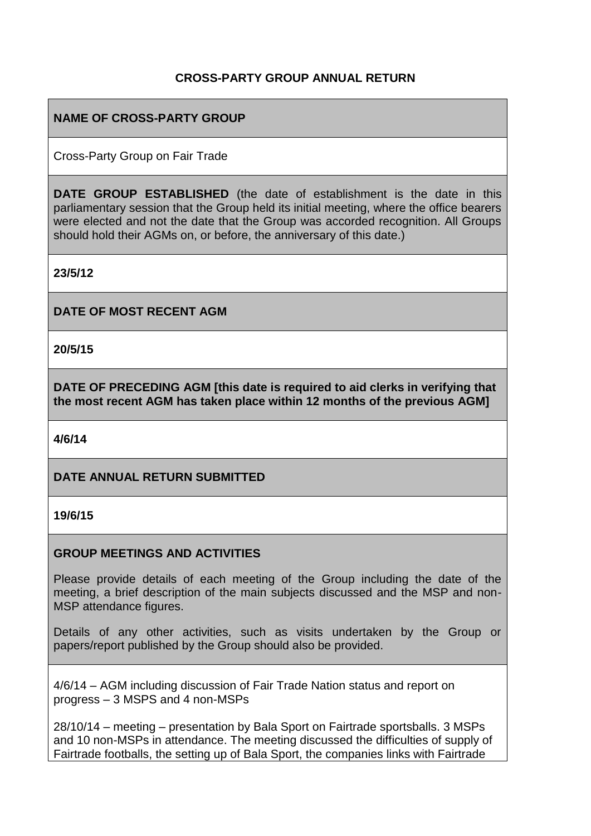# **CROSS-PARTY GROUP ANNUAL RETURN**

### **NAME OF CROSS-PARTY GROUP**

Cross-Party Group on Fair Trade

**DATE GROUP ESTABLISHED** (the date of establishment is the date in this parliamentary session that the Group held its initial meeting, where the office bearers were elected and not the date that the Group was accorded recognition. All Groups should hold their AGMs on, or before, the anniversary of this date.)

**23/5/12**

**DATE OF MOST RECENT AGM**

**20/5/15**

**DATE OF PRECEDING AGM [this date is required to aid clerks in verifying that the most recent AGM has taken place within 12 months of the previous AGM]**

**4/6/14**

#### **DATE ANNUAL RETURN SUBMITTED**

**19/6/15**

#### **GROUP MEETINGS AND ACTIVITIES**

Please provide details of each meeting of the Group including the date of the meeting, a brief description of the main subjects discussed and the MSP and non-MSP attendance figures.

Details of any other activities, such as visits undertaken by the Group or papers/report published by the Group should also be provided.

4/6/14 – AGM including discussion of Fair Trade Nation status and report on progress – 3 MSPS and 4 non-MSPs

28/10/14 – meeting – presentation by Bala Sport on Fairtrade sportsballs. 3 MSPs and 10 non-MSPs in attendance. The meeting discussed the difficulties of supply of Fairtrade footballs, the setting up of Bala Sport, the companies links with Fairtrade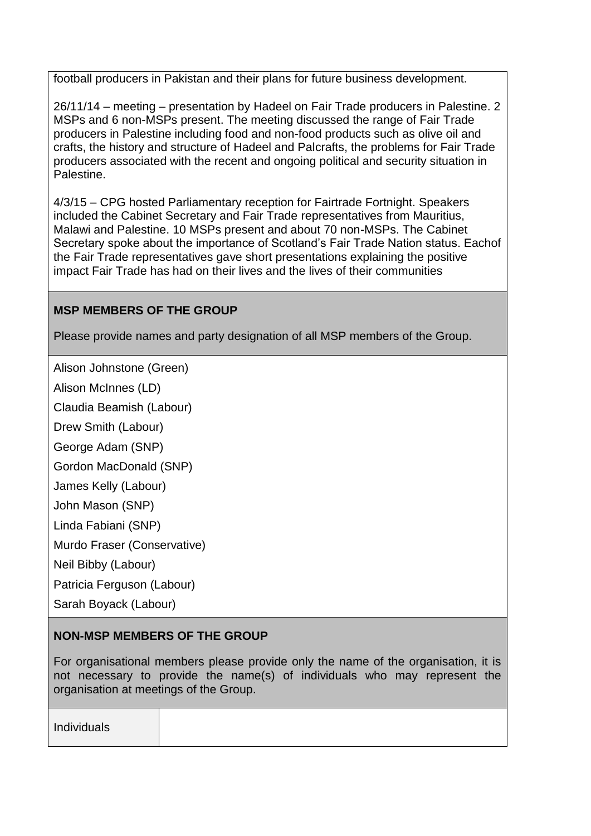football producers in Pakistan and their plans for future business development.

26/11/14 – meeting – presentation by Hadeel on Fair Trade producers in Palestine. 2 MSPs and 6 non-MSPs present. The meeting discussed the range of Fair Trade producers in Palestine including food and non-food products such as olive oil and crafts, the history and structure of Hadeel and Palcrafts, the problems for Fair Trade producers associated with the recent and ongoing political and security situation in **Palestine** 

4/3/15 – CPG hosted Parliamentary reception for Fairtrade Fortnight. Speakers included the Cabinet Secretary and Fair Trade representatives from Mauritius, Malawi and Palestine. 10 MSPs present and about 70 non-MSPs. The Cabinet Secretary spoke about the importance of Scotland's Fair Trade Nation status. Eachof the Fair Trade representatives gave short presentations explaining the positive impact Fair Trade has had on their lives and the lives of their communities

# **MSP MEMBERS OF THE GROUP**

Please provide names and party designation of all MSP members of the Group.

Alison Johnstone (Green)

Alison McInnes (LD)

Claudia Beamish (Labour)

Drew Smith (Labour)

George Adam (SNP)

Gordon MacDonald (SNP)

James Kelly (Labour)

John Mason (SNP)

Linda Fabiani (SNP)

Murdo Fraser (Conservative)

Neil Bibby (Labour)

Patricia Ferguson (Labour)

Sarah Boyack (Labour)

# **NON-MSP MEMBERS OF THE GROUP**

For organisational members please provide only the name of the organisation, it is not necessary to provide the name(s) of individuals who may represent the organisation at meetings of the Group.

| Individuals |  |  |  |
|-------------|--|--|--|
|             |  |  |  |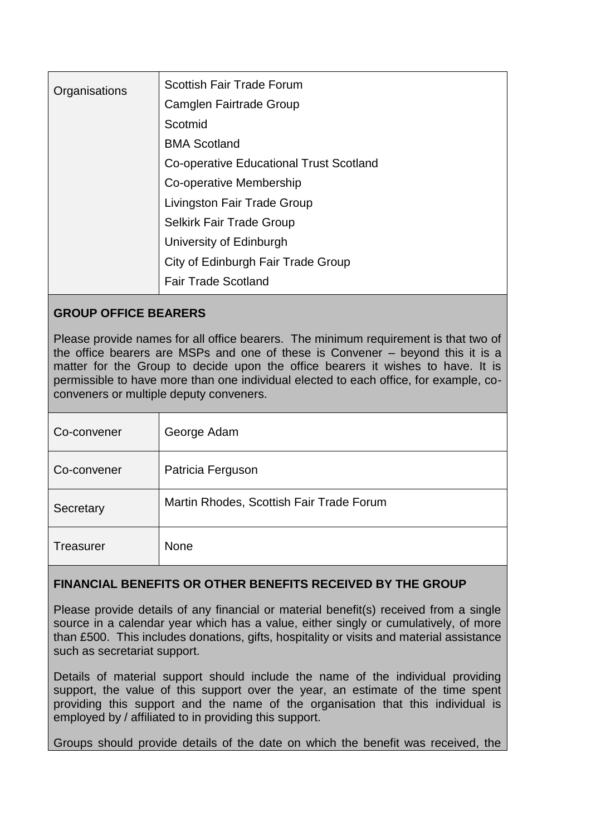| Organisations | <b>Scottish Fair Trade Forum</b>               |
|---------------|------------------------------------------------|
|               | Camglen Fairtrade Group                        |
|               | Scotmid                                        |
|               | <b>BMA Scotland</b>                            |
|               | <b>Co-operative Educational Trust Scotland</b> |
|               | Co-operative Membership                        |
|               | Livingston Fair Trade Group                    |
|               | <b>Selkirk Fair Trade Group</b>                |
|               | University of Edinburgh                        |
|               | City of Edinburgh Fair Trade Group             |
|               | <b>Fair Trade Scotland</b>                     |

#### **GROUP OFFICE BEARERS**

Please provide names for all office bearers. The minimum requirement is that two of the office bearers are MSPs and one of these is Convener – beyond this it is a matter for the Group to decide upon the office bearers it wishes to have. It is permissible to have more than one individual elected to each office, for example, coconveners or multiple deputy conveners.

| Co-convener      | George Adam                              |
|------------------|------------------------------------------|
| Co-convener      | Patricia Ferguson                        |
| Secretary        | Martin Rhodes, Scottish Fair Trade Forum |
| <b>Treasurer</b> | <b>None</b>                              |

#### **FINANCIAL BENEFITS OR OTHER BENEFITS RECEIVED BY THE GROUP**

Please provide details of any financial or material benefit(s) received from a single source in a calendar year which has a value, either singly or cumulatively, of more than £500. This includes donations, gifts, hospitality or visits and material assistance such as secretariat support.

Details of material support should include the name of the individual providing support, the value of this support over the year, an estimate of the time spent providing this support and the name of the organisation that this individual is employed by / affiliated to in providing this support.

Groups should provide details of the date on which the benefit was received, the